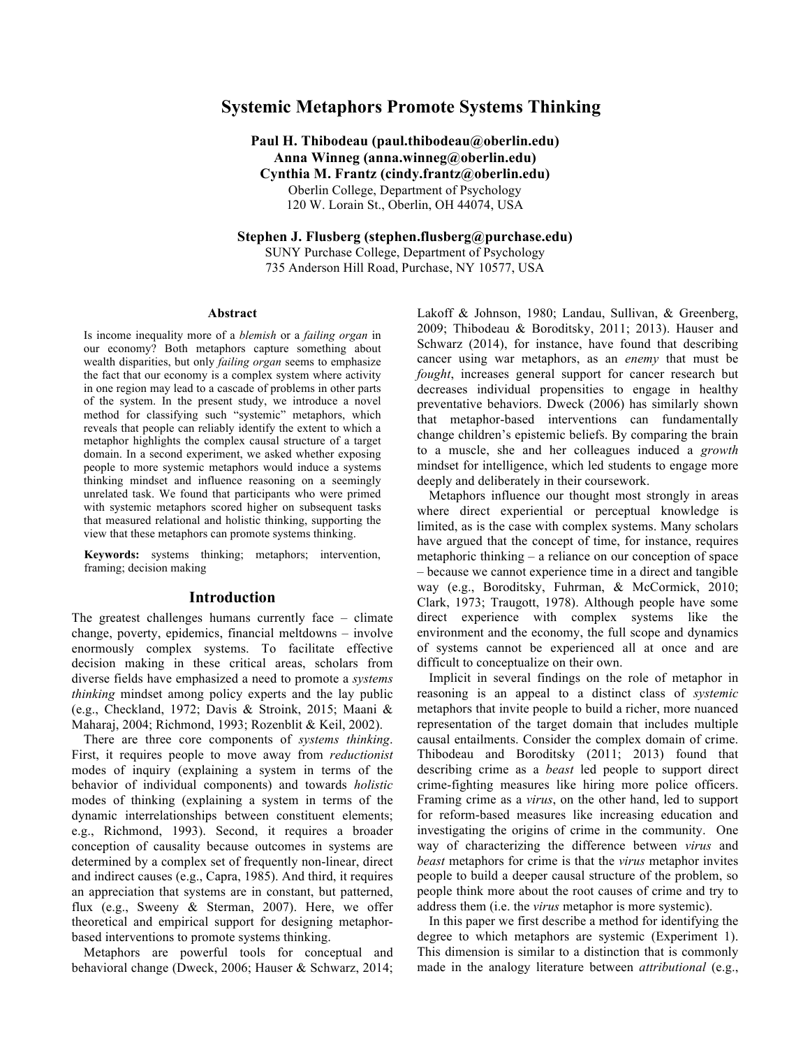# **Systemic Metaphors Promote Systems Thinking**

**Paul H. Thibodeau (paul.thibodeau@oberlin.edu) Anna Winneg (anna.winneg@oberlin.edu) Cynthia M. Frantz (cindy.frantz@oberlin.edu)** Oberlin College, Department of Psychology 120 W. Lorain St., Oberlin, OH 44074, USA

**Stephen J. Flusberg (stephen.flusberg@purchase.edu)** SUNY Purchase College, Department of Psychology 735 Anderson Hill Road, Purchase, NY 10577, USA

#### **Abstract**

Is income inequality more of a *blemish* or a *failing organ* in our economy? Both metaphors capture something about wealth disparities, but only *failing organ* seems to emphasize the fact that our economy is a complex system where activity in one region may lead to a cascade of problems in other parts of the system. In the present study, we introduce a novel method for classifying such "systemic" metaphors, which reveals that people can reliably identify the extent to which a metaphor highlights the complex causal structure of a target domain. In a second experiment, we asked whether exposing people to more systemic metaphors would induce a systems thinking mindset and influence reasoning on a seemingly unrelated task. We found that participants who were primed with systemic metaphors scored higher on subsequent tasks that measured relational and holistic thinking, supporting the view that these metaphors can promote systems thinking.

**Keywords:** systems thinking; metaphors; intervention, framing; decision making

### **Introduction**

The greatest challenges humans currently face – climate change, poverty, epidemics, financial meltdowns – involve enormously complex systems. To facilitate effective decision making in these critical areas, scholars from diverse fields have emphasized a need to promote a *systems thinking* mindset among policy experts and the lay public (e.g., Checkland, 1972; Davis & Stroink, 2015; Maani & Maharaj, 2004; Richmond, 1993; Rozenblit & Keil, 2002).

There are three core components of *systems thinking*. First, it requires people to move away from *reductionist* modes of inquiry (explaining a system in terms of the behavior of individual components) and towards *holistic* modes of thinking (explaining a system in terms of the dynamic interrelationships between constituent elements; e.g., Richmond, 1993). Second, it requires a broader conception of causality because outcomes in systems are determined by a complex set of frequently non-linear, direct and indirect causes (e.g., Capra, 1985). And third, it requires an appreciation that systems are in constant, but patterned, flux (e.g., Sweeny & Sterman, 2007). Here, we offer theoretical and empirical support for designing metaphorbased interventions to promote systems thinking.

Metaphors are powerful tools for conceptual and behavioral change (Dweck, 2006; Hauser & Schwarz, 2014; Lakoff & Johnson, 1980; Landau, Sullivan, & Greenberg, 2009; Thibodeau & Boroditsky, 2011; 2013). Hauser and Schwarz (2014), for instance, have found that describing cancer using war metaphors, as an *enemy* that must be *fought*, increases general support for cancer research but decreases individual propensities to engage in healthy preventative behaviors. Dweck (2006) has similarly shown that metaphor-based interventions can fundamentally change children's epistemic beliefs. By comparing the brain to a muscle, she and her colleagues induced a *growth*  mindset for intelligence, which led students to engage more deeply and deliberately in their coursework.

Metaphors influence our thought most strongly in areas where direct experiential or perceptual knowledge is limited, as is the case with complex systems. Many scholars have argued that the concept of time, for instance, requires metaphoric thinking – a reliance on our conception of space – because we cannot experience time in a direct and tangible way (e.g., Boroditsky, Fuhrman, & McCormick, 2010; Clark, 1973; Traugott, 1978). Although people have some direct experience with complex systems like the environment and the economy, the full scope and dynamics of systems cannot be experienced all at once and are difficult to conceptualize on their own.

Implicit in several findings on the role of metaphor in reasoning is an appeal to a distinct class of *systemic* metaphors that invite people to build a richer, more nuanced representation of the target domain that includes multiple causal entailments. Consider the complex domain of crime. Thibodeau and Boroditsky (2011; 2013) found that describing crime as a *beast* led people to support direct crime-fighting measures like hiring more police officers. Framing crime as a *virus*, on the other hand, led to support for reform-based measures like increasing education and investigating the origins of crime in the community. One way of characterizing the difference between *virus* and *beast* metaphors for crime is that the *virus* metaphor invites people to build a deeper causal structure of the problem, so people think more about the root causes of crime and try to address them (i.e. the *virus* metaphor is more systemic).

In this paper we first describe a method for identifying the degree to which metaphors are systemic (Experiment 1). This dimension is similar to a distinction that is commonly made in the analogy literature between *attributional* (e.g.,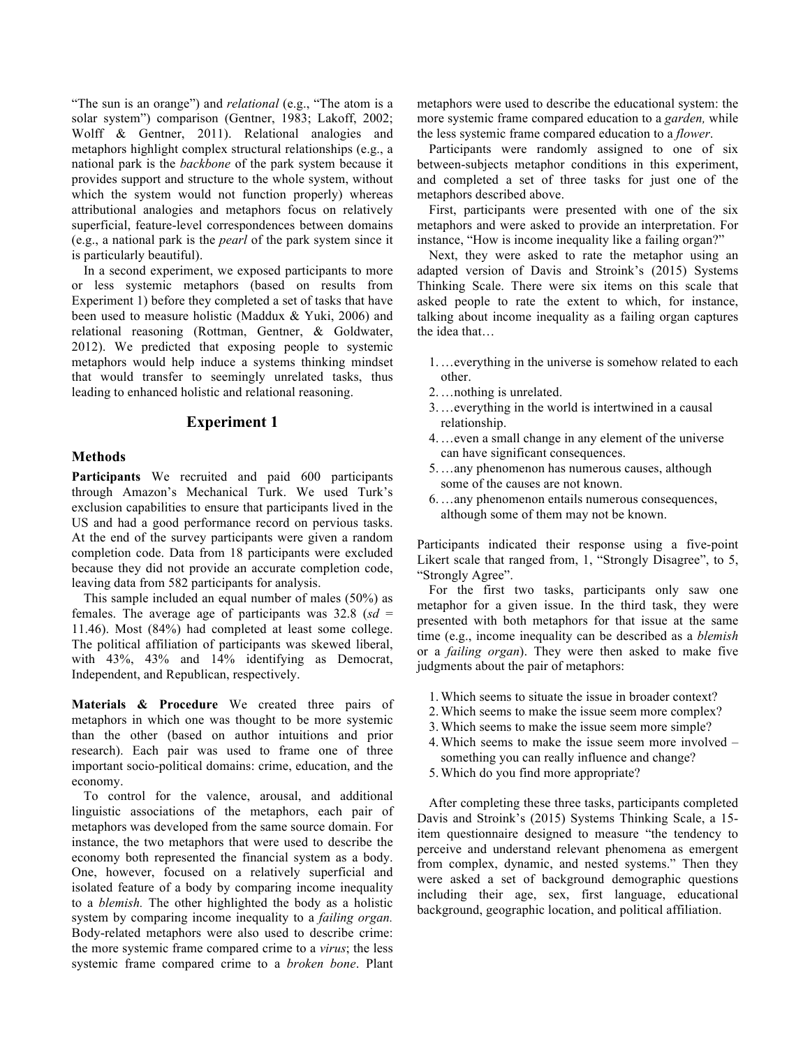"The sun is an orange") and *relational* (e.g., "The atom is a solar system") comparison (Gentner, 1983; Lakoff, 2002; Wolff & Gentner, 2011). Relational analogies and metaphors highlight complex structural relationships (e.g., a national park is the *backbone* of the park system because it provides support and structure to the whole system, without which the system would not function properly) whereas attributional analogies and metaphors focus on relatively superficial, feature-level correspondences between domains (e.g., a national park is the *pearl* of the park system since it is particularly beautiful).

In a second experiment, we exposed participants to more or less systemic metaphors (based on results from Experiment 1) before they completed a set of tasks that have been used to measure holistic (Maddux & Yuki, 2006) and relational reasoning (Rottman, Gentner, & Goldwater, 2012). We predicted that exposing people to systemic metaphors would help induce a systems thinking mindset that would transfer to seemingly unrelated tasks, thus leading to enhanced holistic and relational reasoning.

### **Experiment 1**

### **Methods**

**Participants** We recruited and paid 600 participants through Amazon's Mechanical Turk. We used Turk's exclusion capabilities to ensure that participants lived in the US and had a good performance record on pervious tasks. At the end of the survey participants were given a random completion code. Data from 18 participants were excluded because they did not provide an accurate completion code, leaving data from 582 participants for analysis.

This sample included an equal number of males (50%) as females. The average age of participants was 32.8 (*sd* = 11.46). Most (84%) had completed at least some college. The political affiliation of participants was skewed liberal, with 43%, 43% and 14% identifying as Democrat, Independent, and Republican, respectively.

**Materials & Procedure** We created three pairs of metaphors in which one was thought to be more systemic than the other (based on author intuitions and prior research). Each pair was used to frame one of three important socio-political domains: crime, education, and the economy.

To control for the valence, arousal, and additional linguistic associations of the metaphors, each pair of metaphors was developed from the same source domain. For instance, the two metaphors that were used to describe the economy both represented the financial system as a body. One, however, focused on a relatively superficial and isolated feature of a body by comparing income inequality to a *blemish.* The other highlighted the body as a holistic system by comparing income inequality to a *failing organ.* Body-related metaphors were also used to describe crime: the more systemic frame compared crime to a *virus*; the less systemic frame compared crime to a *broken bone*. Plant

metaphors were used to describe the educational system: the more systemic frame compared education to a *garden,* while the less systemic frame compared education to a *flower*.

Participants were randomly assigned to one of six between-subjects metaphor conditions in this experiment, and completed a set of three tasks for just one of the metaphors described above.

First, participants were presented with one of the six metaphors and were asked to provide an interpretation. For instance, "How is income inequality like a failing organ?"

Next, they were asked to rate the metaphor using an adapted version of Davis and Stroink's (2015) Systems Thinking Scale. There were six items on this scale that asked people to rate the extent to which, for instance, talking about income inequality as a failing organ captures the idea that…

- 1.…everything in the universe is somehow related to each other.
- 2.…nothing is unrelated.
- 3.…everything in the world is intertwined in a causal relationship.
- 4.…even a small change in any element of the universe can have significant consequences.
- 5.…any phenomenon has numerous causes, although some of the causes are not known.
- 6.…any phenomenon entails numerous consequences, although some of them may not be known.

Participants indicated their response using a five-point Likert scale that ranged from, 1, "Strongly Disagree", to 5, "Strongly Agree".

For the first two tasks, participants only saw one metaphor for a given issue. In the third task, they were presented with both metaphors for that issue at the same time (e.g., income inequality can be described as a *blemish* or a *failing organ*). They were then asked to make five judgments about the pair of metaphors:

- 1.Which seems to situate the issue in broader context?
- 2.Which seems to make the issue seem more complex?
- 3.Which seems to make the issue seem more simple?
- 4.Which seems to make the issue seem more involved something you can really influence and change?
- 5.Which do you find more appropriate?

After completing these three tasks, participants completed Davis and Stroink's (2015) Systems Thinking Scale, a 15 item questionnaire designed to measure "the tendency to perceive and understand relevant phenomena as emergent from complex, dynamic, and nested systems." Then they were asked a set of background demographic questions including their age, sex, first language, educational background, geographic location, and political affiliation.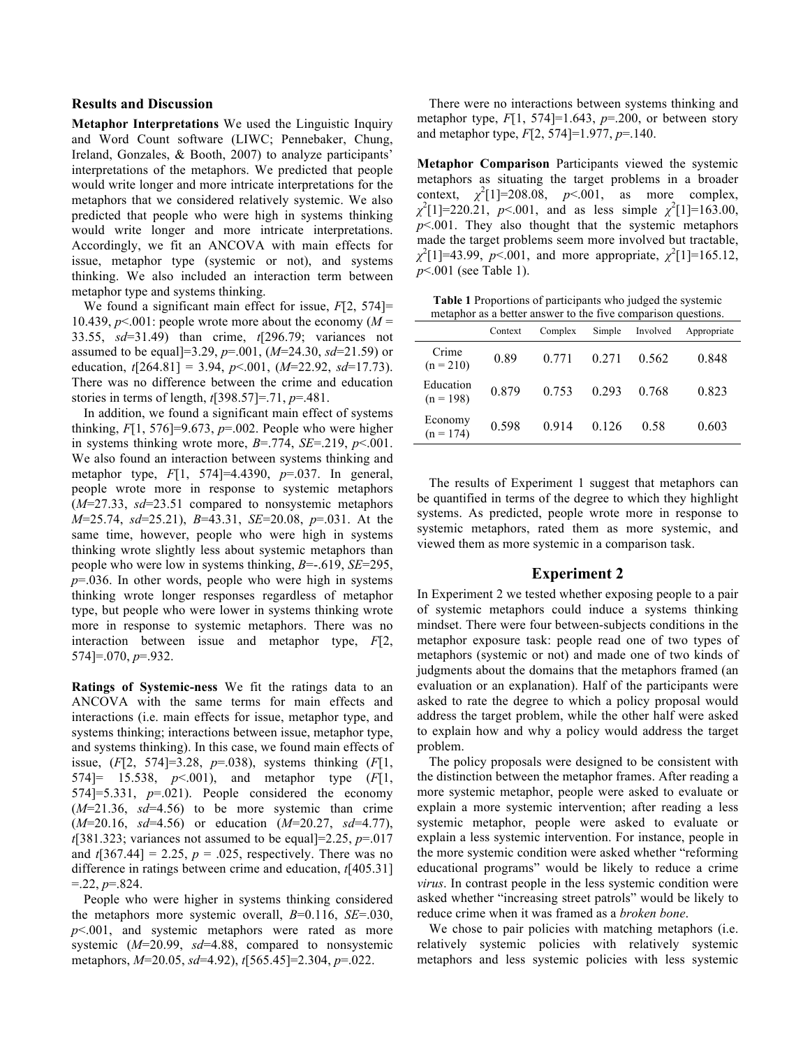### **Results and Discussion**

**Metaphor Interpretations** We used the Linguistic Inquiry and Word Count software (LIWC; Pennebaker, Chung, Ireland, Gonzales, & Booth, 2007) to analyze participants' interpretations of the metaphors. We predicted that people would write longer and more intricate interpretations for the metaphors that we considered relatively systemic. We also predicted that people who were high in systems thinking would write longer and more intricate interpretations. Accordingly, we fit an ANCOVA with main effects for issue, metaphor type (systemic or not), and systems thinking. We also included an interaction term between metaphor type and systems thinking.

We found a significant main effect for issue, *F*[2, 574]= 10.439,  $p \le 0.001$ : people wrote more about the economy ( $M =$ 33.55, *sd*=31.49) than crime, *t*[296.79; variances not assumed to be equal]=3.29, *p*=.001, (*M*=24.30, *sd*=21.59) or education,  $t[264.81] = 3.94$ ,  $p<.001$ ,  $(M=22.92, sd=17.73)$ . There was no difference between the crime and education stories in terms of length, *t*[398.57]=.71, *p*=.481.

In addition, we found a significant main effect of systems thinking,  $F[1, 576] = 9.673$ ,  $p = .002$ . People who were higher in systems thinking wrote more,  $B = .774$ ,  $SE = .219$ ,  $p < .001$ . We also found an interaction between systems thinking and metaphor type, *F*[1, 574]=4.4390, *p*=.037. In general, people wrote more in response to systemic metaphors (*M*=27.33, *sd*=23.51 compared to nonsystemic metaphors *M*=25.74, *sd*=25.21), *B*=43.31, *SE*=20.08, *p*=.031. At the same time, however, people who were high in systems thinking wrote slightly less about systemic metaphors than people who were low in systems thinking, *B*=-.619, *SE*=295, *p*=.036. In other words, people who were high in systems thinking wrote longer responses regardless of metaphor type, but people who were lower in systems thinking wrote more in response to systemic metaphors. There was no interaction between issue and metaphor type, *F*[2, 574]=.070, *p*=.932.

**Ratings of Systemic-ness** We fit the ratings data to an ANCOVA with the same terms for main effects and interactions (i.e. main effects for issue, metaphor type, and systems thinking; interactions between issue, metaphor type, and systems thinking). In this case, we found main effects of issue, (*F*[2, 574]=3.28, *p*=.038), systems thinking (*F*[1, 574]= 15.538, *p*<.001), and metaphor type (*F*[1, 574]=5.331,  $p=0.021$ ). People considered the economy (*M*=21.36, *sd*=4.56) to be more systemic than crime (*M*=20.16, *sd*=4.56) or education (*M*=20.27, *sd*=4.77),  $t$ [381.323; variances not assumed to be equal]=2.25,  $p=0.017$ and  $t[367.44] = 2.25$ ,  $p = .025$ , respectively. There was no difference in ratings between crime and education, *t*[405.31]  $= 22, p = 824.$ 

People who were higher in systems thinking considered the metaphors more systemic overall, *B*=0.116, *SE*=.030, *p*<.001, and systemic metaphors were rated as more systemic (*M*=20.99, *sd*=4.88, compared to nonsystemic metaphors, *M*=20.05, *sd*=4.92), *t*[565.45]=2.304, *p*=.022.

There were no interactions between systems thinking and metaphor type,  $F[1, 574] = 1.643$ ,  $p = .200$ , or between story and metaphor type, *F*[2, 574]=1.977, *p*=.140.

**Metaphor Comparison** Participants viewed the systemic metaphors as situating the target problems in a broader context,  $\chi^2$ [1]=208.08, *p*<.001, as more complex,  $\chi^2[1]$ =220.21, *p*<.001, and as less simple  $\chi^2[1]$ =163.00, *p*<.001. They also thought that the systemic metaphors made the target problems seem more involved but tractable,  $\chi^2$ [1]=43.99, *p*<.001, and more appropriate,  $\chi^2$ [1]=165.12, *p*<.001 (see Table 1).

**Table 1** Proportions of participants who judged the systemic metaphor as a better answer to the five comparison questions.

|                          | Context | Complex | Simple | Involved | Appropriate |
|--------------------------|---------|---------|--------|----------|-------------|
| Crime<br>$(n = 210)$     | 0.89    | 0.771   | 0.271  | 0.562    | 0.848       |
| Education<br>$(n = 198)$ | 0.879   | 0.753   | 0.293  | 0.768    | 0.823       |
| Economy<br>$(n = 174)$   | 0.598   | 0.914   | 0.126  | 0.58     | 0.603       |

The results of Experiment 1 suggest that metaphors can be quantified in terms of the degree to which they highlight systems. As predicted, people wrote more in response to systemic metaphors, rated them as more systemic, and viewed them as more systemic in a comparison task.

## **Experiment 2**

In Experiment 2 we tested whether exposing people to a pair of systemic metaphors could induce a systems thinking mindset. There were four between-subjects conditions in the metaphor exposure task: people read one of two types of metaphors (systemic or not) and made one of two kinds of judgments about the domains that the metaphors framed (an evaluation or an explanation). Half of the participants were asked to rate the degree to which a policy proposal would address the target problem, while the other half were asked to explain how and why a policy would address the target problem.

The policy proposals were designed to be consistent with the distinction between the metaphor frames. After reading a more systemic metaphor, people were asked to evaluate or explain a more systemic intervention; after reading a less systemic metaphor, people were asked to evaluate or explain a less systemic intervention. For instance, people in the more systemic condition were asked whether "reforming educational programs" would be likely to reduce a crime *virus*. In contrast people in the less systemic condition were asked whether "increasing street patrols" would be likely to reduce crime when it was framed as a *broken bone*.

We chose to pair policies with matching metaphors *(i.e.*) relatively systemic policies with relatively systemic metaphors and less systemic policies with less systemic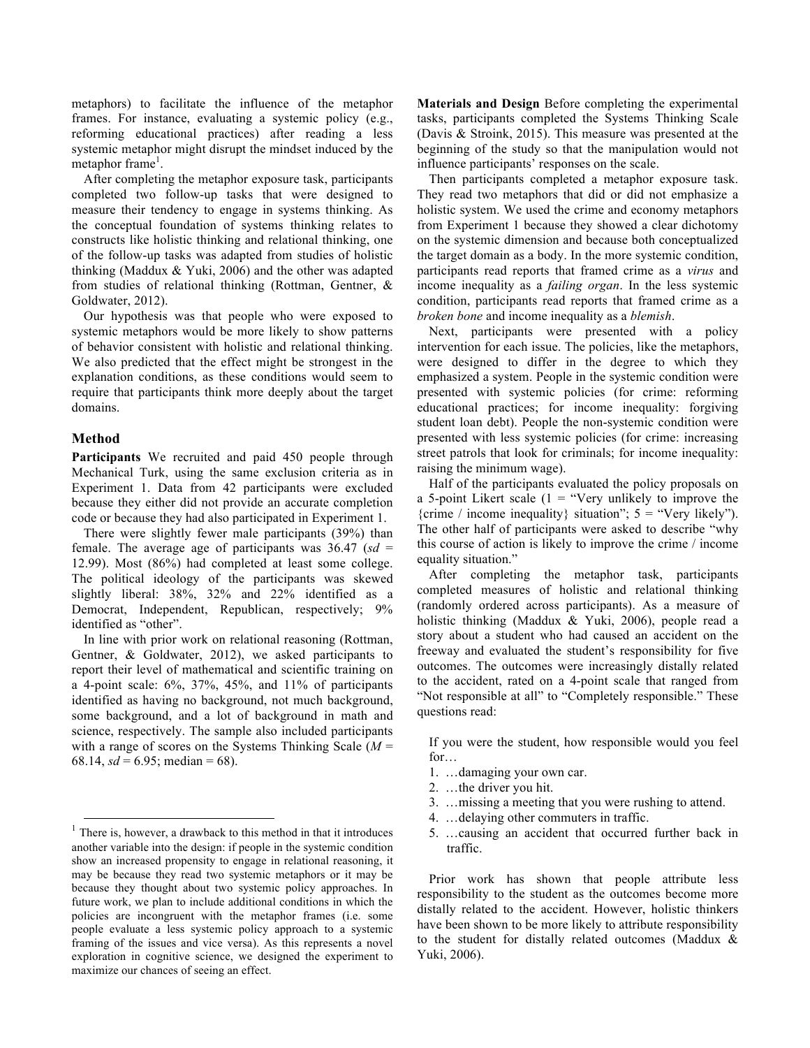metaphors) to facilitate the influence of the metaphor frames. For instance, evaluating a systemic policy (e.g., reforming educational practices) after reading a less systemic metaphor might disrupt the mindset induced by the  $metaphor frame<sup>1</sup>$ .

After completing the metaphor exposure task, participants completed two follow-up tasks that were designed to measure their tendency to engage in systems thinking. As the conceptual foundation of systems thinking relates to constructs like holistic thinking and relational thinking, one of the follow-up tasks was adapted from studies of holistic thinking (Maddux & Yuki, 2006) and the other was adapted from studies of relational thinking (Rottman, Gentner, & Goldwater, 2012).

Our hypothesis was that people who were exposed to systemic metaphors would be more likely to show patterns of behavior consistent with holistic and relational thinking. We also predicted that the effect might be strongest in the explanation conditions, as these conditions would seem to require that participants think more deeply about the target domains.

### **Method**

**Participants** We recruited and paid 450 people through Mechanical Turk, using the same exclusion criteria as in Experiment 1. Data from 42 participants were excluded because they either did not provide an accurate completion code or because they had also participated in Experiment 1.

There were slightly fewer male participants (39%) than female. The average age of participants was 36.47 (*sd* = 12.99). Most (86%) had completed at least some college. The political ideology of the participants was skewed slightly liberal: 38%, 32% and 22% identified as a Democrat, Independent, Republican, respectively; 9% identified as "other".

In line with prior work on relational reasoning (Rottman, Gentner, & Goldwater, 2012), we asked participants to report their level of mathematical and scientific training on a 4-point scale: 6%, 37%, 45%, and 11% of participants identified as having no background, not much background, some background, and a lot of background in math and science, respectively. The sample also included participants with a range of scores on the Systems Thinking Scale (*M* = 68.14,  $sd = 6.95$ ; median = 68).

**Materials and Design** Before completing the experimental tasks, participants completed the Systems Thinking Scale (Davis & Stroink, 2015). This measure was presented at the beginning of the study so that the manipulation would not influence participants' responses on the scale.

Then participants completed a metaphor exposure task. They read two metaphors that did or did not emphasize a holistic system. We used the crime and economy metaphors from Experiment 1 because they showed a clear dichotomy on the systemic dimension and because both conceptualized the target domain as a body. In the more systemic condition, participants read reports that framed crime as a *virus* and income inequality as a *failing organ*. In the less systemic condition, participants read reports that framed crime as a *broken bone* and income inequality as a *blemish*.

Next, participants were presented with a policy intervention for each issue. The policies, like the metaphors, were designed to differ in the degree to which they emphasized a system. People in the systemic condition were presented with systemic policies (for crime: reforming educational practices; for income inequality: forgiving student loan debt). People the non-systemic condition were presented with less systemic policies (for crime: increasing street patrols that look for criminals; for income inequality: raising the minimum wage).

Half of the participants evaluated the policy proposals on a 5-point Likert scale  $(1 -$  "Very unlikely to improve the {crime / income inequality} situation";  $5 =$  "Very likely"). The other half of participants were asked to describe "why this course of action is likely to improve the crime / income equality situation."

After completing the metaphor task, participants completed measures of holistic and relational thinking (randomly ordered across participants). As a measure of holistic thinking (Maddux & Yuki, 2006), people read a story about a student who had caused an accident on the freeway and evaluated the student's responsibility for five outcomes. The outcomes were increasingly distally related to the accident, rated on a 4-point scale that ranged from "Not responsible at all" to "Completely responsible." These questions read:

If you were the student, how responsible would you feel for…

- 1. …damaging your own car.
- 2. …the driver you hit.
- 3. …missing a meeting that you were rushing to attend.
- 4. …delaying other commuters in traffic.
- 5. …causing an accident that occurred further back in traffic.

Prior work has shown that people attribute less responsibility to the student as the outcomes become more distally related to the accident. However, holistic thinkers have been shown to be more likely to attribute responsibility to the student for distally related outcomes (Maddux & Yuki, 2006).

 $<sup>1</sup>$  There is, however, a drawback to this method in that it introduces</sup> another variable into the design: if people in the systemic condition show an increased propensity to engage in relational reasoning, it may be because they read two systemic metaphors or it may be because they thought about two systemic policy approaches. In future work, we plan to include additional conditions in which the policies are incongruent with the metaphor frames (i.e. some people evaluate a less systemic policy approach to a systemic framing of the issues and vice versa). As this represents a novel exploration in cognitive science, we designed the experiment to maximize our chances of seeing an effect.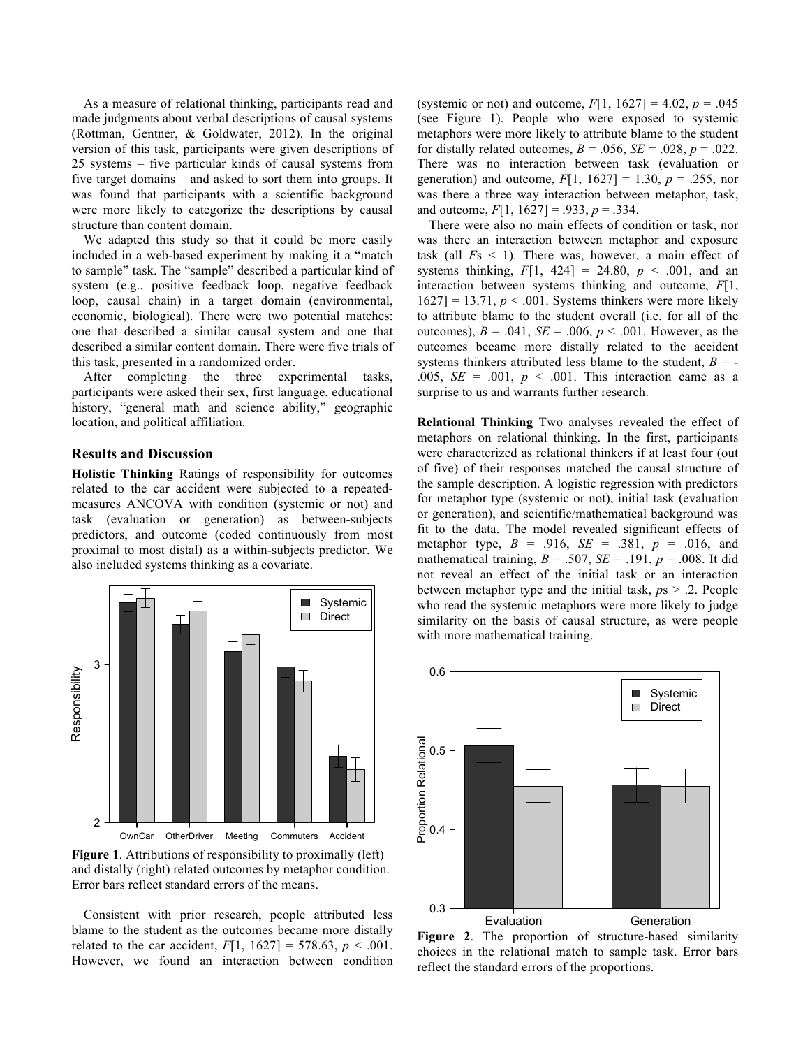As a measure of relational thinking, participants read and made judgments about verbal descriptions of causal systems (Rottman, Gentner, & Goldwater, 2012). In the original version of this task, participants were given descriptions of 25 systems – five particular kinds of causal systems from five target domains – and asked to sort them into groups. It was found that participants with a scientific background were more likely to categorize the descriptions by causal structure than content domain.

We adapted this study so that it could be more easily included in a web-based experiment by making it a "match to sample" task. The "sample" described a particular kind of system (e.g., positive feedback loop, negative feedback loop, causal chain) in a target domain (environmental, economic, biological). There were two potential matches: one that described a similar causal system and one that described a similar content domain. There were five trials of this task, presented in a randomized order.

After completing the three experimental tasks, participants were asked their sex, first language, educational history, "general math and science ability," geographic location, and political affiliation.

### **Results and Discussion**

**Holistic Thinking** Ratings of responsibility for outcomes related to the car accident were subjected to a repeatedmeasures ANCOVA with condition (systemic or not) and task (evaluation or generation) as between-subjects predictors, and outcome (coded continuously from most proximal to most distal) as a within-subjects predictor. We also included systems thinking as a covariate.



**Figure 1**. Attributions of responsibility to proximally (left) and distally (right) related outcomes by metaphor condition. Error bars reflect standard errors of the means.

Consistent with prior research, people attributed less blame to the student as the outcomes became more distally related to the car accident,  $F[1, 1627] = 578.63$ ,  $p < .001$ . However, we found an interaction between condition (systemic or not) and outcome,  $F[1, 1627] = 4.02$ ,  $p = .045$ (see Figure 1). People who were exposed to systemic metaphors were more likely to attribute blame to the student for distally related outcomes,  $B = .056$ ,  $SE = .028$ ,  $p = .022$ . There was no interaction between task (evaluation or generation) and outcome, *F*[1, 1627] = 1.30, *p* = .255, nor was there a three way interaction between metaphor, task, and outcome,  $F[1, 1627] = .933$ ,  $p = .334$ .

There were also no main effects of condition or task, nor was there an interaction between metaphor and exposure task (all *F*s < 1). There was, however, a main effect of systems thinking,  $F[1, 424] = 24.80$ ,  $p < .001$ , and an interaction between systems thinking and outcome, *F*[1,  $1627$ ] = 13.71,  $p < .001$ . Systems thinkers were more likely to attribute blame to the student overall (i.e. for all of the outcomes),  $B = .041$ ,  $SE = .006$ ,  $p < .001$ . However, as the outcomes became more distally related to the accident systems thinkers attributed less blame to the student,  $B = -$ .005,  $SE = .001$ ,  $p < .001$ . This interaction came as a surprise to us and warrants further research.

**Relational Thinking** Two analyses revealed the effect of metaphors on relational thinking. In the first, participants were characterized as relational thinkers if at least four (out of five) of their responses matched the causal structure of the sample description. A logistic regression with predictors for metaphor type (systemic or not), initial task (evaluation or generation), and scientific/mathematical background was fit to the data. The model revealed significant effects of metaphor type, *B* = .916, *SE* = .381, *p* = .016, and mathematical training,  $B = .507$ ,  $SE = .191$ ,  $p = .008$ . It did not reveal an effect of the initial task or an interaction between metaphor type and the initial task, *p*s > .2. People who read the systemic metaphors were more likely to judge similarity on the basis of causal structure, as were people with more mathematical training.



**Figure 2**. The proportion of structure-based similarity choices in the relational match to sample task. Error bars reflect the standard errors of the proportions.